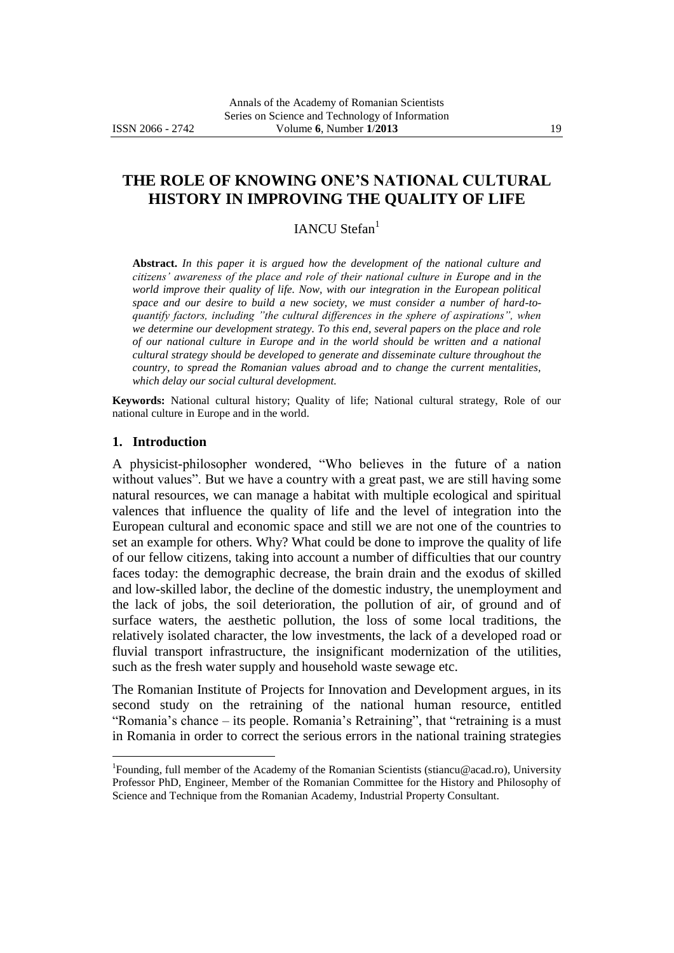# **THE ROLE OF KNOWING ONE'S NATIONAL CULTURAL HISTORY IN IMPROVING THE QUALITY OF LIFE**

## IANCU Stefan<sup>1</sup>

**Abstract.** *In this paper it is argued how the development of the national culture and citizens' awareness of the place and role of their national culture in Europe and in the world improve their quality of life. Now, with our integration in the European political space and our desire to build a new society, we must consider a number of hard-toquantify factors, including "the cultural differences in the sphere of aspirations", when we determine our development strategy. To this end, several papers on the place and role of our national culture in Europe and in the world should be written and a national cultural strategy should be developed to generate and disseminate culture throughout the country, to spread the Romanian values abroad and to change the current mentalities, which delay our social cultural development.*

**Keywords:** National cultural history; Quality of life; National cultural strategy, Role of our national culture in Europe and in the world.

#### **1. Introduction**

 $\overline{a}$ 

A physicist-philosopher wondered, "Who believes in the future of a nation without values". But we have a country with a great past, we are still having some natural resources, we can manage a habitat with multiple ecological and spiritual valences that influence the quality of life and the level of integration into the European cultural and economic space and still we are not one of the countries to set an example for others. Why? What could be done to improve the quality of life of our fellow citizens, taking into account a number of difficulties that our country faces today: the demographic decrease, the brain drain and the exodus of skilled and low-skilled labor, the decline of the domestic industry, the unemployment and the lack of jobs, the soil deterioration, the pollution of air, of ground and of surface waters, the aesthetic pollution, the loss of some local traditions, the relatively isolated character, the low investments, the lack of a developed road or fluvial transport infrastructure, the insignificant modernization of the utilities, such as the fresh water supply and household waste sewage etc.

The Romanian Institute of Projects for Innovation and Development argues, in its second study on the retraining of the national human resource, entitled "Romania's chance – its people. Romania's Retraining", that "retraining is a must in Romania in order to correct the serious errors in the national training strategies

<sup>&</sup>lt;sup>1</sup>Founding, full member of the Academy of the Romanian Scientists (stiancu@acad.ro), University Professor PhD, Engineer, Member of the Romanian Committee for the History and Philosophy of Science and Technique from the Romanian Academy, Industrial Property Consultant.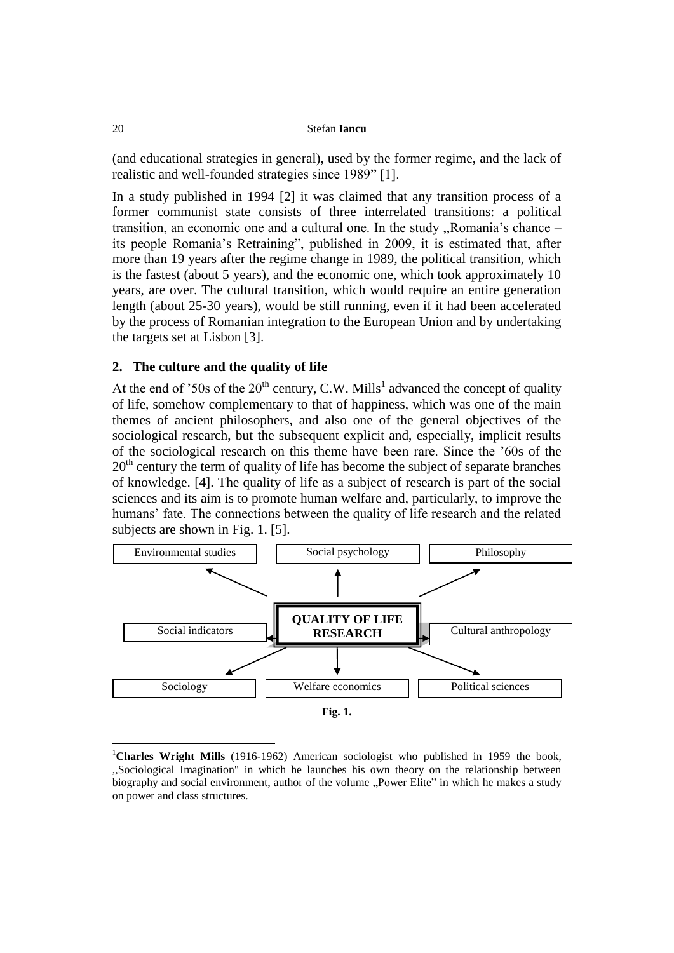(and educational strategies in general), used by the former regime, and the lack of realistic and well-founded strategies since 1989" [1].

In a study published in 1994 [2] it was claimed that any transition process of a former communist state consists of three interrelated transitions: a political transition, an economic one and a cultural one. In the study ,,Romania's chance – its people Romania's Retraining", published in 2009, it is estimated that, after more than 19 years after the regime change in 1989, the political transition, which is the fastest (about 5 years), and the economic one, which took approximately 10 years, are over. The cultural transition, which would require an entire generation length (about 25-30 years), would be still running, even if it had been accelerated by the process of Romanian integration to the European Union and by undertaking the targets set at Lisbon [3].

### **2. The culture and the quality of life**

At the end of '50s of the  $20<sup>th</sup>$  century, C.W. Mills<sup>1</sup> advanced the concept of quality of life, somehow complementary to that of happiness, which was one of the main themes of ancient philosophers, and also one of the general objectives of the sociological research, but the subsequent explicit and, especially, implicit results of the sociological research on this theme have been rare. Since the '60s of the  $20<sup>th</sup>$  century the term of quality of life has become the subject of separate branches of knowledge. [4]. The quality of life as a subject of research is part of the social sciences and its aim is to promote human welfare and, particularly, to improve the humans' fate. The connections between the quality of life research and the related subjects are shown in Fig. 1. [5].



<sup>&</sup>lt;sup>1</sup>Charles Wright Mills (1916-1962) American sociologist who published in 1959 the book, ,,Sociological Imagination" in which he launches his own theory on the relationship between biography and social environment, author of the volume "Power Elite" in which he makes a study on power and class structures.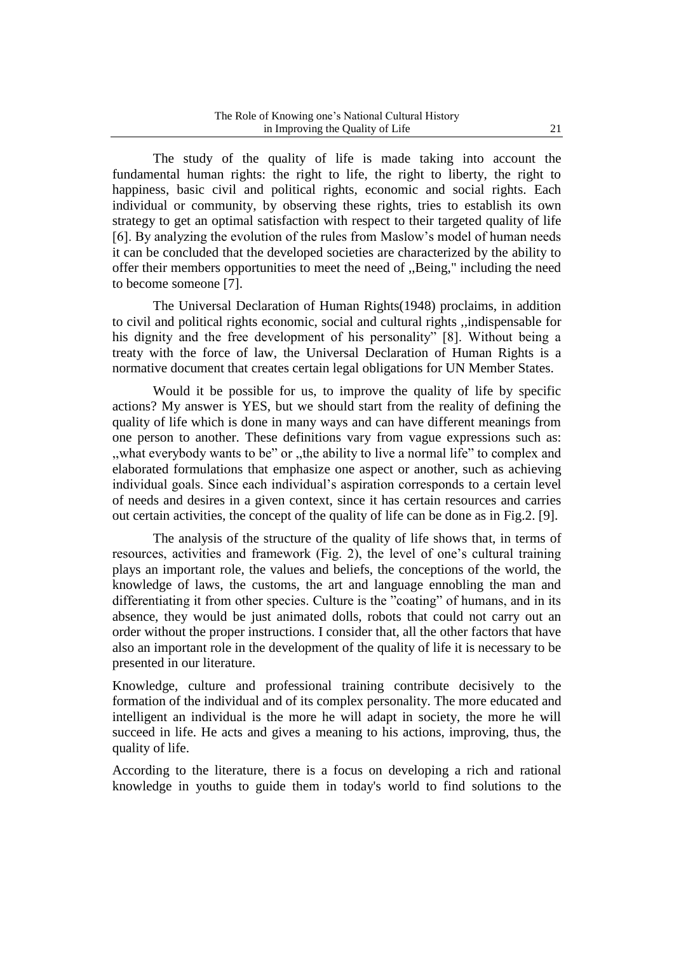The study of the quality of life is made taking into account the fundamental human rights: the right to life, the right to liberty, the right to happiness, basic civil and political rights, economic and social rights. Each individual or community, by observing these rights, tries to establish its own strategy to get an optimal satisfaction with respect to their targeted quality of life [6]. By analyzing the evolution of the rules from Maslow's model of human needs it can be concluded that the developed societies are characterized by the ability to offer their members opportunities to meet the need of ,,Being," including the need to become someone [7].

The Universal Declaration of Human Rights(1948) proclaims, in addition to civil and political rights economic, social and cultural rights ,,indispensable for his dignity and the free development of his personality" [8]. Without being a treaty with the force of law, the Universal Declaration of Human Rights is a normative document that creates certain legal obligations for UN Member States.

Would it be possible for us, to improve the quality of life by specific actions? My answer is YES, but we should start from the reality of defining the quality of life which is done in many ways and can have different meanings from one person to another. These definitions vary from vague expressions such as: ,,what everybody wants to be" or ,,the ability to live a normal life" to complex and elaborated formulations that emphasize one aspect or another, such as achieving individual goals. Since each individual's aspiration corresponds to a certain level of needs and desires in a given context, since it has certain resources and carries out certain activities, the concept of the quality of life can be done as in Fig.2. [9].

The analysis of the structure of the quality of life shows that, in terms of resources, activities and framework (Fig. 2), the level of one's cultural training plays an important role, the values and beliefs, the conceptions of the world, the knowledge of laws, the customs, the art and language ennobling the man and differentiating it from other species. Culture is the "coating" of humans, and in its absence, they would be just animated dolls, robots that could not carry out an order without the proper instructions. I consider that, all the other factors that have also an important role in the development of the quality of life it is necessary to be presented in our literature.

Knowledge, culture and professional training contribute decisively to the formation of the individual and of its complex personality. The more educated and intelligent an individual is the more he will adapt in society, the more he will succeed in life. He acts and gives a meaning to his actions, improving, thus, the quality of life.

According to the literature, there is a focus on developing a rich and rational knowledge in youths to guide them in today's world to find solutions to the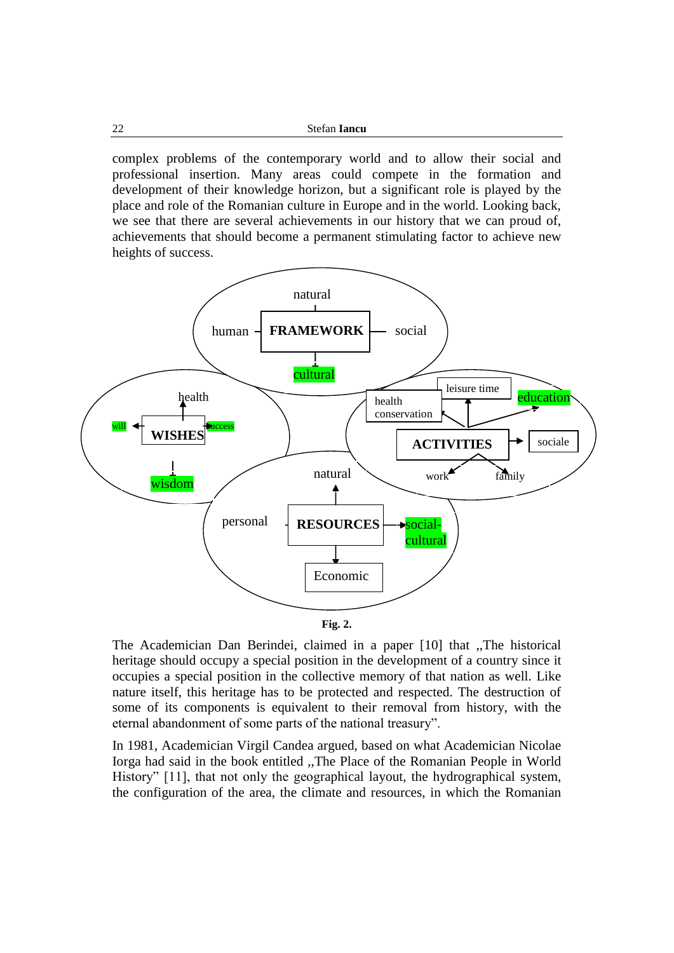| 22 | Stefan <b>Iancu</b> |
|----|---------------------|
|    |                     |

complex problems of the contemporary world and to allow their social and professional insertion. Many areas could compete in the formation and development of their knowledge horizon, but a significant role is played by the place and role of the Romanian culture in Europe and in the world. Looking back, we see that there are several achievements in our history that we can proud of, achievements that should become a permanent stimulating factor to achieve new heights of success.





The Academician Dan Berindei, claimed in a paper [10] that ,,The historical heritage should occupy a special position in the development of a country since it occupies a special position in the collective memory of that nation as well. Like nature itself, this heritage has to be protected and respected. The destruction of some of its components is equivalent to their removal from history, with the eternal abandonment of some parts of the national treasury".

In 1981, Academician Virgil Candea argued, based on what Academician Nicolae Iorga had said in the book entitled ,,The Place of the Romanian People in World History" [11], that not only the geographical layout, the hydrographical system, the configuration of the area, the climate and resources, in which the Romanian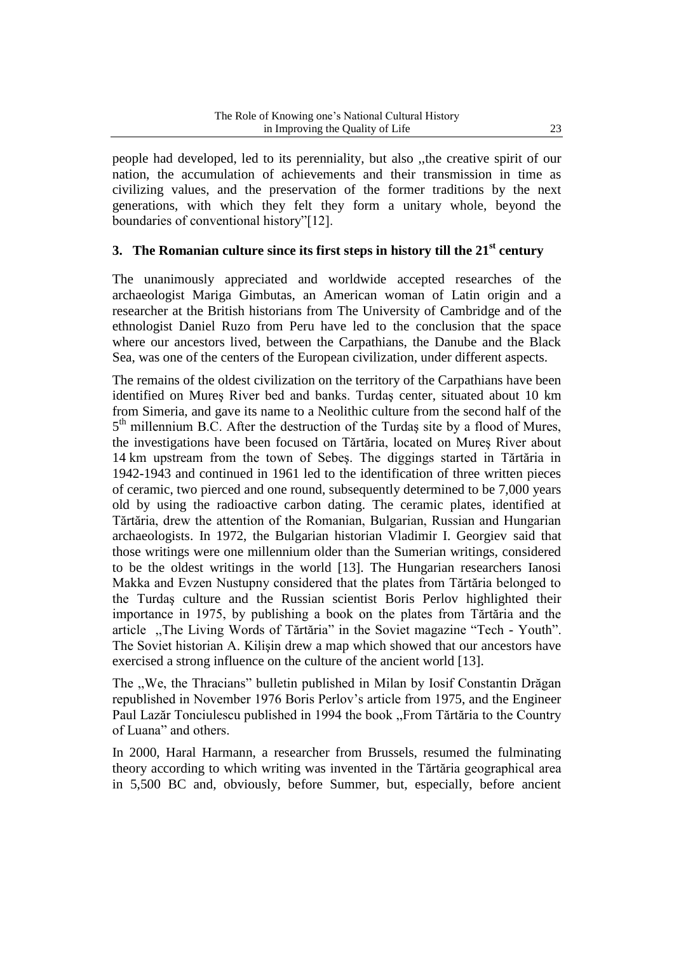people had developed, led to its perenniality, but also ,,the creative spirit of our nation, the accumulation of achievements and their transmission in time as civilizing values, and the preservation of the former traditions by the next generations, with which they felt they form a unitary whole, beyond the boundaries of conventional history"[12].

## **3. The Romanian culture since its first steps in history till the 21st century**

The unanimously appreciated and worldwide accepted researches of the archaeologist Mariga Gimbutas, an American woman of Latin origin and a researcher at the British historians from The University of Cambridge and of the ethnologist Daniel Ruzo from Peru have led to the conclusion that the space where our ancestors lived, between the Carpathians, the Danube and the Black Sea, was one of the centers of the European civilization, under different aspects.

The remains of the oldest civilization on the territory of the Carpathians have been identified on Mureş River bed and banks. Turdaş center, situated about 10 km from Simeria, and gave its name to a Neolithic culture from the second half of the 5<sup>th</sup> millennium B.C. After the destruction of the Turdaş site by a flood of Mures, the investigations have been focused on Tărtăria, located on Mureş River about 14 km upstream from the town of Sebeş. The diggings started in Tărtăria in 1942-1943 and continued in 1961 led to the identification of three written pieces of ceramic, two pierced and one round, subsequently determined to be 7,000 years old by using the radioactive carbon dating. The ceramic plates, identified at Tărtăria, drew the attention of the Romanian, Bulgarian, Russian and Hungarian archaeologists. In 1972, the Bulgarian historian Vladimir I. Georgiev said that those writings were one millennium older than the Sumerian writings, considered to be the oldest writings in the world [13]. The Hungarian researchers Ianosi Makka and Evzen Nustupny considered that the plates from Tărtăria belonged to the Turdaş culture and the Russian scientist Boris Perlov highlighted their importance in 1975, by publishing a book on the plates from Tărtăria and the article ,,The Living Words of Tărtăria" in the Soviet magazine "Tech - Youth". The Soviet historian A. Kilişin drew a map which showed that our ancestors have exercised a strong influence on the culture of the ancient world [13].

The ,,We, the Thracians" bulletin published in Milan by Iosif Constantin Drăgan republished in November 1976 Boris Perlov's article from 1975, and the Engineer Paul Lazăr Tonciulescu published in 1994 the book ,,From Tărtăria to the Country of Luana" and others.

In 2000, Haral Harmann, a researcher from Brussels, resumed the fulminating theory according to which writing was invented in the Tărtăria geographical area in 5,500 BC and, obviously, before Summer, but, especially, before ancient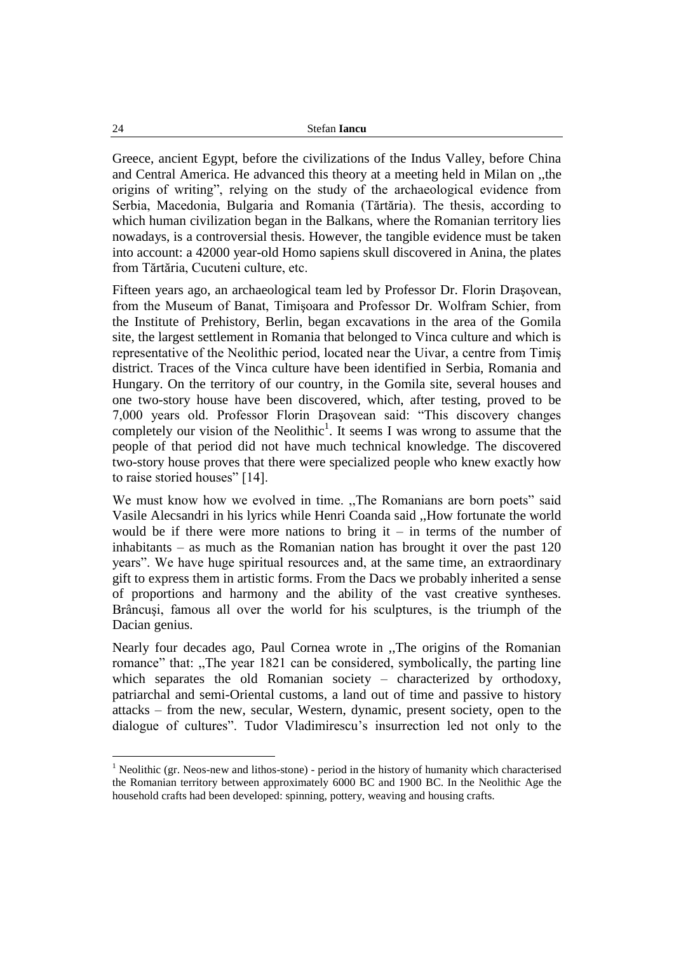| 24 | Stefan <b>Iancu</b> |
|----|---------------------|
|    |                     |

Greece, ancient Egypt, before the civilizations of the Indus Valley, before China and Central America. He advanced this theory at a meeting held in Milan on ,,the origins of writing", relying on the study of the archaeological evidence from Serbia, Macedonia, Bulgaria and Romania (Tărtăria). The thesis, according to which human civilization began in the Balkans, where the Romanian territory lies nowadays, is a controversial thesis. However, the tangible evidence must be taken into account: a 42000 year-old Homo sapiens skull discovered in Anina, the plates from Tărtăria, Cucuteni culture, etc.

Fifteen years ago, an archaeological team led by Professor Dr. Florin Draşovean, from the Museum of Banat, Timişoara and Professor Dr. Wolfram Schier, from the Institute of Prehistory, Berlin, began excavations in the area of the Gomila site, the largest settlement in Romania that belonged to Vinca culture and which is representative of the Neolithic period, located near the Uivar, a centre from Timiş district. Traces of the Vinca culture have been identified in Serbia, Romania and Hungary. On the territory of our country, in the Gomila site, several houses and one two-story house have been discovered, which, after testing, proved to be 7,000 years old. Professor Florin Draşovean said: "This discovery changes completely our vision of the Neolithic<sup>1</sup>. It seems I was wrong to assume that the people of that period did not have much technical knowledge. The discovered two-story house proves that there were specialized people who knew exactly how to raise storied houses" [14].

We must know how we evolved in time. "The Romanians are born poets" said Vasile Alecsandri in his lyrics while Henri Coanda said ,,How fortunate the world would be if there were more nations to bring it – in terms of the number of inhabitants – as much as the Romanian nation has brought it over the past 120 years". We have huge spiritual resources and, at the same time, an extraordinary gift to express them in artistic forms. From the Dacs we probably inherited a sense of proportions and harmony and the ability of the vast creative syntheses. Brâncuşi, famous all over the world for his sculptures, is the triumph of the Dacian genius.

Nearly four decades ago, Paul Cornea wrote in ,,The origins of the Romanian romance" that: ,,The year 1821 can be considered, symbolically, the parting line which separates the old Romanian society – characterized by orthodoxy, patriarchal and semi-Oriental customs, a land out of time and passive to history attacks – from the new, secular, Western, dynamic, present society, open to the dialogue of cultures". Tudor Vladimirescu's insurrection led not only to the

 $<sup>1</sup>$  Neolithic (gr. Neos-new and lithos-stone) - period in the history of humanity which characterised</sup> the Romanian territory between approximately 6000 BC and 1900 BC. In the Neolithic Age the household crafts had been developed: spinning, pottery, weaving and housing crafts.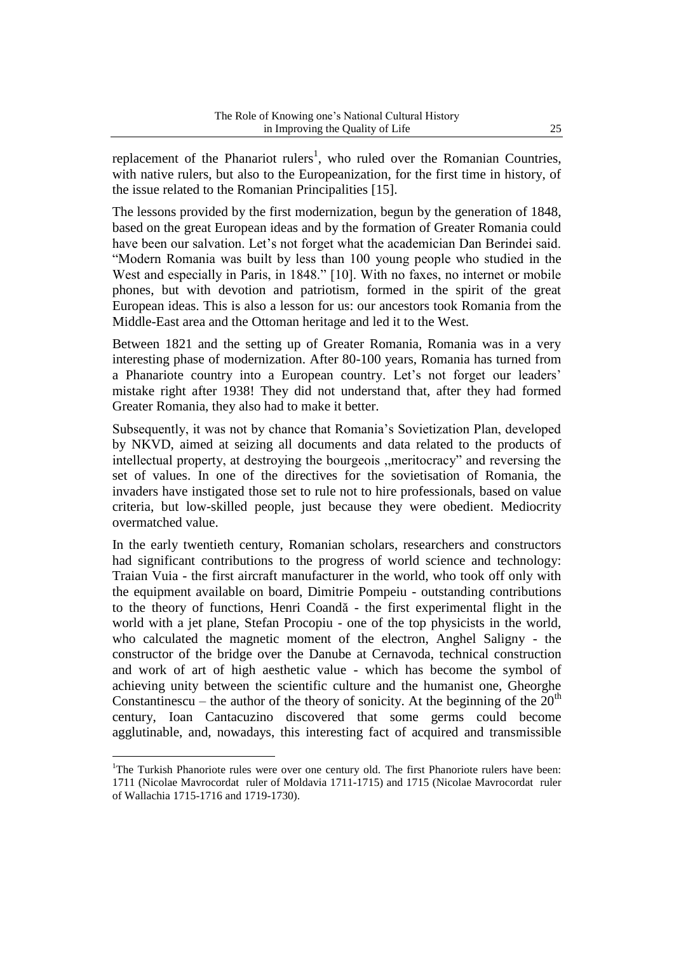replacement of the Phanariot rulers<sup>1</sup>, who ruled over the Romanian Countries, with native rulers, but also to the Europeanization, for the first time in history, of the issue related to the Romanian Principalities [15].

The lessons provided by the first modernization, begun by the generation of 1848, based on the great European ideas and by the formation of Greater Romania could have been our salvation. Let's not forget what the academician Dan Berindei said. "Modern Romania was built by less than 100 young people who studied in the West and especially in Paris, in 1848." [10]. With no faxes, no internet or mobile phones, but with devotion and patriotism, formed in the spirit of the great European ideas. This is also a lesson for us: our ancestors took Romania from the Middle-East area and the Ottoman heritage and led it to the West.

Between 1821 and the setting up of Greater Romania, Romania was in a very interesting phase of modernization. After 80-100 years, Romania has turned from a Phanariote country into a European country. Let's not forget our leaders' mistake right after 1938! They did not understand that, after they had formed Greater Romania, they also had to make it better.

Subsequently, it was not by chance that Romania's Sovietization Plan, developed by NKVD, aimed at seizing all documents and data related to the products of intellectual property, at destroying the bourgeois ,,meritocracy" and reversing the set of values. In one of the directives for the sovietisation of Romania, the invaders have instigated those set to rule not to hire professionals, based on value criteria, but low-skilled people, just because they were obedient. Mediocrity overmatched value.

In the early twentieth century, Romanian scholars, researchers and constructors had significant contributions to the progress of world science and technology: Traian Vuia - the first aircraft manufacturer in the world, who took off only with the equipment available on board, Dimitrie Pompeiu - outstanding contributions to the theory of functions, Henri Coandă - the first experimental flight in the world with a jet plane, Stefan Procopiu - one of the top physicists in the world, who calculated the magnetic moment of the electron, Anghel Saligny - the constructor of the bridge over the Danube at Cernavoda, technical construction and work of art of high aesthetic value - which has become the symbol of achieving unity between the scientific culture and the humanist one, Gheorghe Constantinescu – the author of the theory of sonicity. At the beginning of the  $20<sup>th</sup>$ century, Ioan Cantacuzino discovered that some germs could become agglutinable, and, nowadays, this interesting fact of acquired and transmissible

<sup>&</sup>lt;sup>1</sup>The Turkish Phanoriote rules were over one century old. The first Phanoriote rulers have been: 1711 (Nicolae Mavrocordat ruler of Moldavia 1711-1715) and 1715 (Nicolae Mavrocordat ruler of Wallachia 1715-1716 and 1719-1730).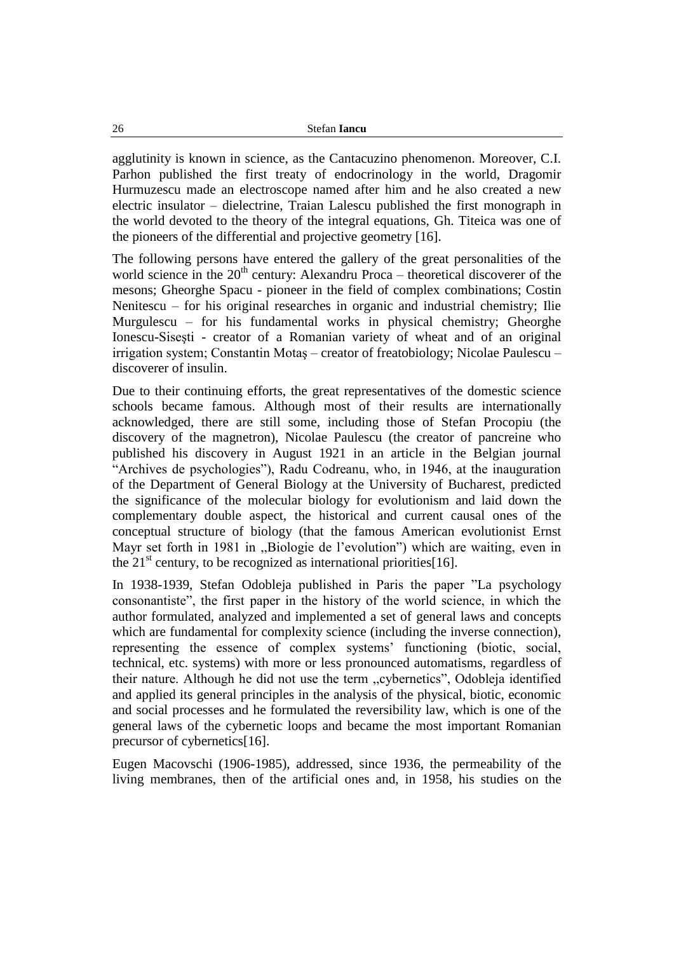agglutinity is known in science, as the Cantacuzino phenomenon. Moreover, C.I. Parhon published the first treaty of endocrinology in the world, Dragomir Hurmuzescu made an electroscope named after him and he also created a new electric insulator – dielectrine, Traian Lalescu published the first monograph in the world devoted to the theory of the integral equations, Gh. Titeica was one of the pioneers of the differential and projective geometry [16].

The following persons have entered the gallery of the great personalities of the world science in the  $20<sup>th</sup>$  century: Alexandru Proca – theoretical discoverer of the mesons; Gheorghe Spacu - pioneer in the field of complex combinations; Costin Nenitescu – for his original researches in organic and industrial chemistry; Ilie Murgulescu – for his fundamental works in physical chemistry; Gheorghe Ionescu-Siseşti - creator of a Romanian variety of wheat and of an original irrigation system; Constantin Motaş – creator of freatobiology; Nicolae Paulescu – discoverer of insulin.

Due to their continuing efforts, the great representatives of the domestic science schools became famous. Although most of their results are internationally acknowledged, there are still some, including those of Stefan Procopiu (the discovery of the magnetron), Nicolae Paulescu (the creator of pancreine who published his discovery in August 1921 in an article in the Belgian journal "Archives de psychologies"), Radu Codreanu, who, in 1946, at the inauguration of the Department of General Biology at the University of Bucharest, predicted the significance of the molecular biology for evolutionism and laid down the complementary double aspect, the historical and current causal ones of the conceptual structure of biology (that the famous American evolutionist Ernst Mayr set forth in 1981 in ,,Biologie de l'evolution") which are waiting, even in the 21<sup>st</sup> century, to be recognized as international priorities[16].

In 1938-1939, Stefan Odobleja published in Paris the paper "La psychology consonantiste", the first paper in the history of the world science, in which the author formulated, analyzed and implemented a set of general laws and concepts which are fundamental for complexity science (including the inverse connection), representing the essence of complex systems' functioning (biotic, social, technical, etc. systems) with more or less pronounced automatisms, regardless of their nature. Although he did not use the term ,,cybernetics", Odobleja identified and applied its general principles in the analysis of the physical, biotic, economic and social processes and he formulated the reversibility law, which is one of the general laws of the cybernetic loops and became the most important Romanian precursor of cybernetics[16].

Eugen Macovschi (1906-1985), addressed, since 1936, the permeability of the living membranes, then of the artificial ones and, in 1958, his studies on the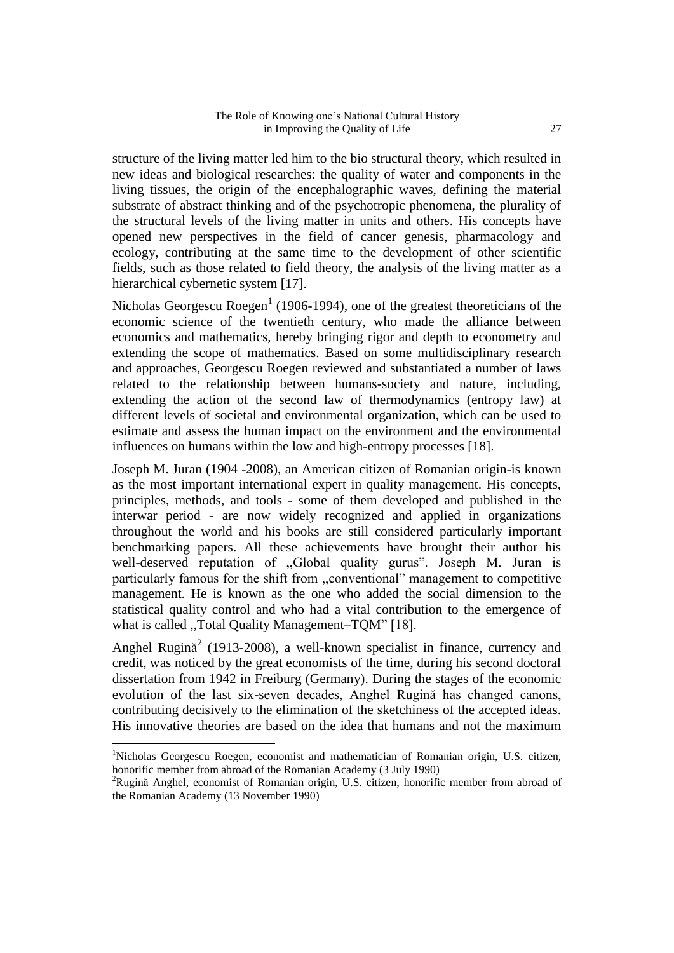structure of the living matter led him to the bio structural theory, which resulted in new ideas and biological researches: the quality of water and components in the living tissues, the origin of the encephalographic waves, defining the material substrate of abstract thinking and of the psychotropic phenomena, the plurality of the structural levels of the living matter in units and others. His concepts have opened new perspectives in the field of cancer genesis, pharmacology and ecology, contributing at the same time to the development of other scientific fields, such as those related to field theory, the analysis of the living matter as a hierarchical cybernetic system [17].

Nicholas Georgescu Roegen<sup>1</sup> (1906-1994), one of the greatest theoreticians of the economic science of the twentieth century, who made the alliance between economics and mathematics, hereby bringing rigor and depth to econometry and extending the scope of mathematics. Based on some multidisciplinary research and approaches, Georgescu Roegen reviewed and substantiated a number of laws related to the relationship between humans-society and nature, including, extending the action of the second law of thermodynamics (entropy law) at different levels of societal and environmental organization, which can be used to estimate and assess the human impact on the environment and the environmental influences on humans within the low and high-entropy processes [18].

Joseph M. Juran (1904 -2008), an American citizen of Romanian origin-is known as the most important international expert in quality management. His concepts, principles, methods, and tools - some of them developed and published in the interwar period - are now widely recognized and applied in organizations throughout the world and his books are still considered particularly important benchmarking papers. All these achievements have brought their author his well-deserved reputation of ,,Global quality gurus". Joseph M. Juran is particularly famous for the shift from ,,conventional" management to competitive management. He is known as the one who added the social dimension to the statistical quality control and who had a vital contribution to the emergence of what is called ,,Total Quality Management–TQM" [18].

Anghel Rugină<sup>2</sup> (1913-2008), a well-known specialist in finance, currency and credit, was noticed by the great economists of the time, during his second doctoral dissertation from 1942 in Freiburg (Germany). During the stages of the economic evolution of the last six-seven decades, Anghel Rugină has changed canons, contributing decisively to the elimination of the sketchiness of the accepted ideas. His innovative theories are based on the idea that humans and not the maximum

<sup>&</sup>lt;sup>1</sup>Nicholas Georgescu Roegen, economist and mathematician of Romanian origin, U.S. citizen, honorific member from abroad of the Romanian Academy (3 July 1990)

<sup>2</sup>Rugină Anghel, economist of Romanian origin, U.S. citizen, honorific member from abroad of the Romanian Academy (13 November 1990)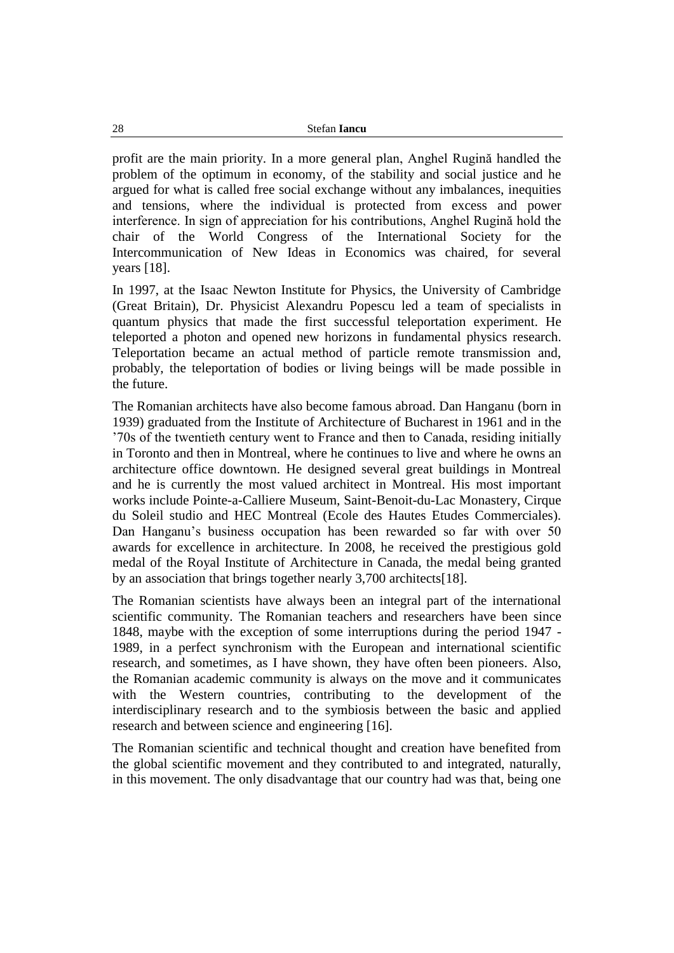profit are the main priority. In a more general plan, Anghel Rugină handled the problem of the optimum in economy, of the stability and social justice and he argued for what is called free social exchange without any imbalances, inequities and tensions, where the individual is protected from excess and power interference. In sign of appreciation for his contributions, Anghel Rugină hold the chair of the World Congress of the International Society for the Intercommunication of New Ideas in Economics was chaired, for several years [18].

In 1997, at the Isaac Newton Institute for Physics, the University of Cambridge (Great Britain), Dr. Physicist Alexandru Popescu led a team of specialists in quantum physics that made the first successful teleportation experiment. He teleported a photon and opened new horizons in fundamental physics research. Teleportation became an actual method of particle remote transmission and, probably, the teleportation of bodies or living beings will be made possible in the future.

The Romanian architects have also become famous abroad. Dan Hanganu (born in 1939) graduated from the Institute of Architecture of Bucharest in 1961 and in the '70s of the twentieth century went to France and then to Canada, residing initially in Toronto and then in Montreal, where he continues to live and where he owns an architecture office downtown. He designed several great buildings in Montreal and he is currently the most valued architect in Montreal. His most important works include Pointe-a-Calliere Museum, Saint-Benoit-du-Lac Monastery, Cirque du Soleil studio and HEC Montreal (Ecole des Hautes Etudes Commerciales). Dan Hanganu's business occupation has been rewarded so far with over 50 awards for excellence in architecture. In 2008, he received the prestigious gold medal of the Royal Institute of Architecture in Canada, the medal being granted by an association that brings together nearly 3,700 architects[18].

The Romanian scientists have always been an integral part of the international scientific community. The Romanian teachers and researchers have been since 1848, maybe with the exception of some interruptions during the period 1947 - 1989, in a perfect synchronism with the European and international scientific research, and sometimes, as I have shown, they have often been pioneers. Also, the Romanian academic community is always on the move and it communicates with the Western countries, contributing to the development of the interdisciplinary research and to the symbiosis between the basic and applied research and between science and engineering [16].

The Romanian scientific and technical thought and creation have benefited from the global scientific movement and they contributed to and integrated, naturally, in this movement. The only disadvantage that our country had was that, being one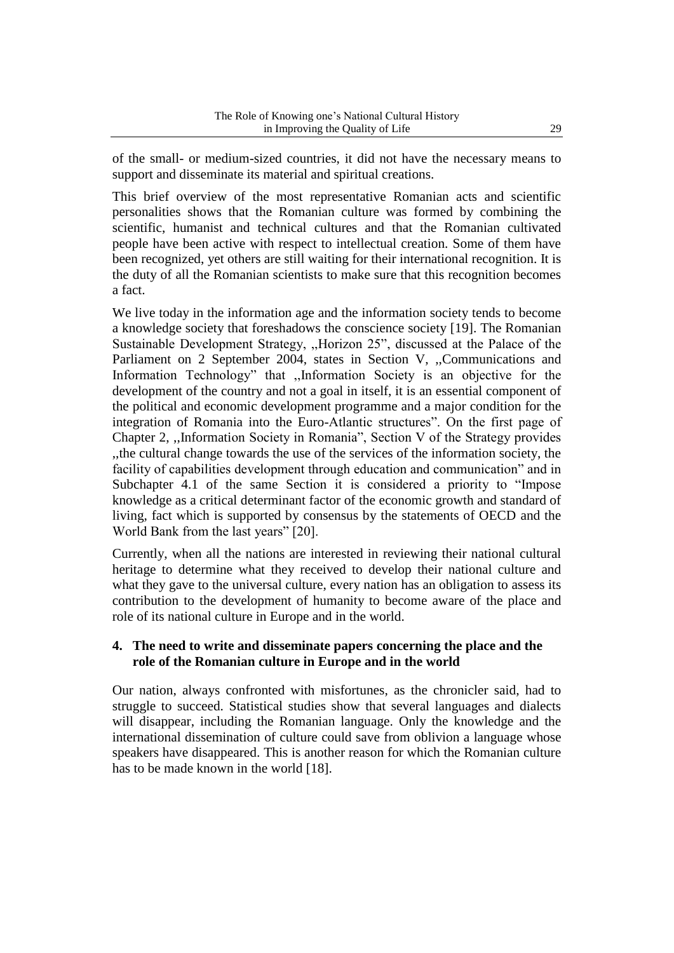of the small- or medium-sized countries, it did not have the necessary means to support and disseminate its material and spiritual creations.

This brief overview of the most representative Romanian acts and scientific personalities shows that the Romanian culture was formed by combining the scientific, humanist and technical cultures and that the Romanian cultivated people have been active with respect to intellectual creation. Some of them have been recognized, yet others are still waiting for their international recognition. It is the duty of all the Romanian scientists to make sure that this recognition becomes a fact.

We live today in the information age and the information society tends to become a knowledge society that foreshadows the conscience society [19]. The Romanian Sustainable Development Strategy, ,,Horizon 25", discussed at the Palace of the Parliament on 2 September 2004, states in Section V, ,,Communications and Information Technology" that ,,Information Society is an objective for the development of the country and not a goal in itself, it is an essential component of the political and economic development programme and a major condition for the integration of Romania into the Euro-Atlantic structures". On the first page of Chapter 2, ,,Information Society in Romania", Section V of the Strategy provides ,,the cultural change towards the use of the services of the information society, the facility of capabilities development through education and communication" and in Subchapter 4.1 of the same Section it is considered a priority to "Impose knowledge as a critical determinant factor of the economic growth and standard of living, fact which is supported by consensus by the statements of OECD and the World Bank from the last years" [20].

Currently, when all the nations are interested in reviewing their national cultural heritage to determine what they received to develop their national culture and what they gave to the universal culture, every nation has an obligation to assess its contribution to the development of humanity to become aware of the place and role of its national culture in Europe and in the world.

## **4. The need to write and disseminate papers concerning the place and the role of the Romanian culture in Europe and in the world**

Our nation, always confronted with misfortunes, as the chronicler said, had to struggle to succeed. Statistical studies show that several languages and dialects will disappear, including the Romanian language. Only the knowledge and the international dissemination of culture could save from oblivion a language whose speakers have disappeared. This is another reason for which the Romanian culture has to be made known in the world [18].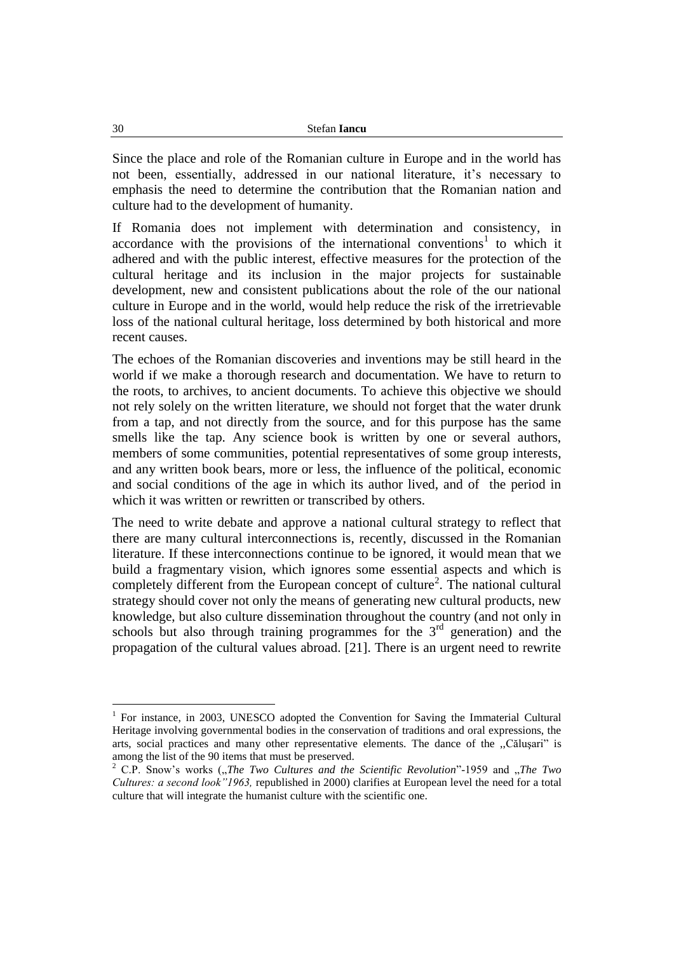Since the place and role of the Romanian culture in Europe and in the world has not been, essentially, addressed in our national literature, it's necessary to emphasis the need to determine the contribution that the Romanian nation and culture had to the development of humanity.

If Romania does not implement with determination and consistency, in accordance with the provisions of the international conventions<sup>1</sup> to which it adhered and with the public interest, effective measures for the protection of the cultural heritage and its inclusion in the major projects for sustainable development, new and consistent publications about the role of the our national culture in Europe and in the world, would help reduce the risk of the irretrievable loss of the national cultural heritage, loss determined by both historical and more recent causes.

The echoes of the Romanian discoveries and inventions may be still heard in the world if we make a thorough research and documentation. We have to return to the roots, to archives, to ancient documents. To achieve this objective we should not rely solely on the written literature, we should not forget that the water drunk from a tap, and not directly from the source, and for this purpose has the same smells like the tap. Any science book is written by one or several authors, members of some communities, potential representatives of some group interests, and any written book bears, more or less, the influence of the political, economic and social conditions of the age in which its author lived, and of the period in which it was written or rewritten or transcribed by others.

The need to write debate and approve a national cultural strategy to reflect that there are many cultural interconnections is, recently, discussed in the Romanian literature. If these interconnections continue to be ignored, it would mean that we build a fragmentary vision, which ignores some essential aspects and which is completely different from the European concept of culture<sup>2</sup>. The national cultural strategy should cover not only the means of generating new cultural products, new knowledge, but also culture dissemination throughout the country (and not only in schools but also through training programmes for the  $3<sup>rd</sup>$  generation) and the propagation of the cultural values abroad. [21]. There is an urgent need to rewrite

<sup>&</sup>lt;sup>1</sup> For instance, in 2003, UNESCO adopted the Convention for Saving the Immaterial Cultural Heritage involving governmental bodies in the conservation of traditions and oral expressions, the arts, social practices and many other representative elements. The dance of the "Căluşari" is among the list of the 90 items that must be preserved.

<sup>2</sup> C.P. Snow's works ("*The Two Cultures and the Scientific Revolution*"-1959 and "*The Two Cultures: a second look"1963,* republished in 2000) clarifies at European level the need for a total culture that will integrate the humanist culture with the scientific one.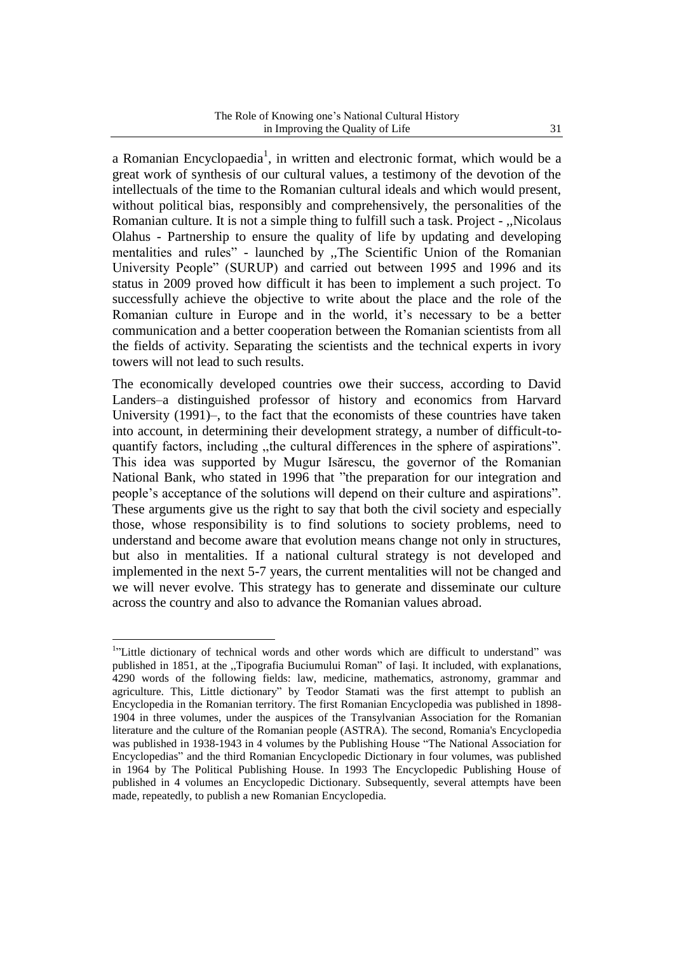a Romanian Encyclopaedia<sup>1</sup>, in written and electronic format, which would be a great work of synthesis of our cultural values, a testimony of the devotion of the intellectuals of the time to the Romanian cultural ideals and which would present, without political bias, responsibly and comprehensively, the personalities of the Romanian culture. It is not a simple thing to fulfill such a task. Project - ,,Nicolaus Olahus - Partnership to ensure the quality of life by updating and developing mentalities and rules" - launched by ,,The Scientific Union of the Romanian University People" (SURUP) and carried out between 1995 and 1996 and its status in 2009 proved how difficult it has been to implement a such project. To successfully achieve the objective to write about the place and the role of the Romanian culture in Europe and in the world, it's necessary to be a better communication and a better cooperation between the Romanian scientists from all the fields of activity. Separating the scientists and the technical experts in ivory towers will not lead to such results.

The economically developed countries owe their success, according to David Landers–a distinguished professor of history and economics from Harvard University (1991)–, to the fact that the economists of these countries have taken into account, in determining their development strategy, a number of difficult-toquantify factors, including ,,the cultural differences in the sphere of aspirations". This idea was supported by Mugur Isărescu, the governor of the Romanian National Bank, who stated in 1996 that "the preparation for our integration and people's acceptance of the solutions will depend on their culture and aspirations". These arguments give us the right to say that both the civil society and especially those, whose responsibility is to find solutions to society problems, need to understand and become aware that evolution means change not only in structures, but also in mentalities. If a national cultural strategy is not developed and implemented in the next 5-7 years, the current mentalities will not be changed and we will never evolve. This strategy has to generate and disseminate our culture across the country and also to advance the Romanian values abroad.

<sup>&</sup>lt;sup>1</sup>"Little dictionary of technical words and other words which are difficult to understand" was published in 1851, at the ,,Tipografia Buciumului Roman" of Iaşi. It included, with explanations, 4290 words of the following fields: law, medicine, mathematics, astronomy, grammar and agriculture. This, Little dictionary" by Teodor Stamati was the first attempt to publish an Encyclopedia in the Romanian territory. The first Romanian Encyclopedia was published in 1898- 1904 in three volumes, under the auspices of the Transylvanian Association for the Romanian literature and the culture of the Romanian people (ASTRA). The second, Romania's Encyclopedia was published in 1938-1943 in 4 volumes by the Publishing House "The National Association for Encyclopedias" and the third Romanian Encyclopedic Dictionary in four volumes, was published in 1964 by The Political Publishing House. In 1993 The Encyclopedic Publishing House of published in 4 volumes an Encyclopedic Dictionary. Subsequently, several attempts have been made, repeatedly, to publish a new Romanian Encyclopedia.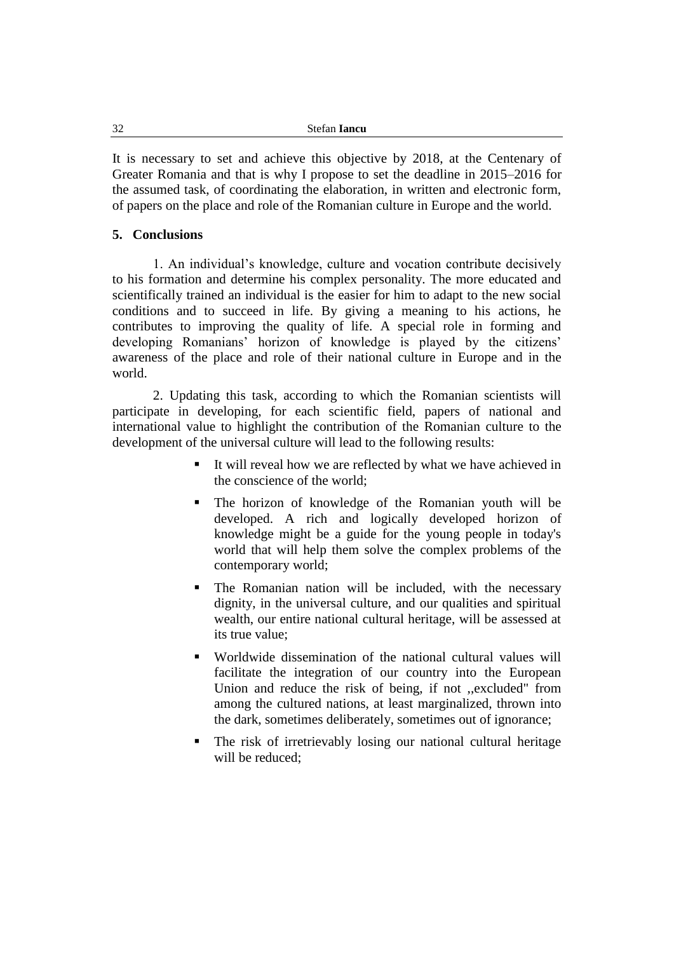| 32 | Stefan <b>Iancu</b> |
|----|---------------------|
|    |                     |

It is necessary to set and achieve this objective by 2018, at the Centenary of Greater Romania and that is why I propose to set the deadline in 2015–2016 for the assumed task, of coordinating the elaboration, in written and electronic form, of papers on the place and role of the Romanian culture in Europe and the world.

### **5. Conclusions**

1. An individual's knowledge, culture and vocation contribute decisively to his formation and determine his complex personality. The more educated and scientifically trained an individual is the easier for him to adapt to the new social conditions and to succeed in life. By giving a meaning to his actions, he contributes to improving the quality of life. A special role in forming and developing Romanians' horizon of knowledge is played by the citizens' awareness of the place and role of their national culture in Europe and in the world.

2. Updating this task, according to which the Romanian scientists will participate in developing, for each scientific field, papers of national and international value to highlight the contribution of the Romanian culture to the development of the universal culture will lead to the following results:

- It will reveal how we are reflected by what we have achieved in the conscience of the world;
- The horizon of knowledge of the Romanian youth will be developed. A rich and logically developed horizon of knowledge might be a guide for the young people in today's world that will help them solve the complex problems of the contemporary world;
- The Romanian nation will be included, with the necessary dignity, in the universal culture, and our qualities and spiritual wealth, our entire national cultural heritage, will be assessed at its true value;
- Worldwide dissemination of the national cultural values will facilitate the integration of our country into the European Union and reduce the risk of being, if not ,,excluded" from among the cultured nations, at least marginalized, thrown into the dark, sometimes deliberately, sometimes out of ignorance;
- The risk of irretrievably losing our national cultural heritage will be reduced;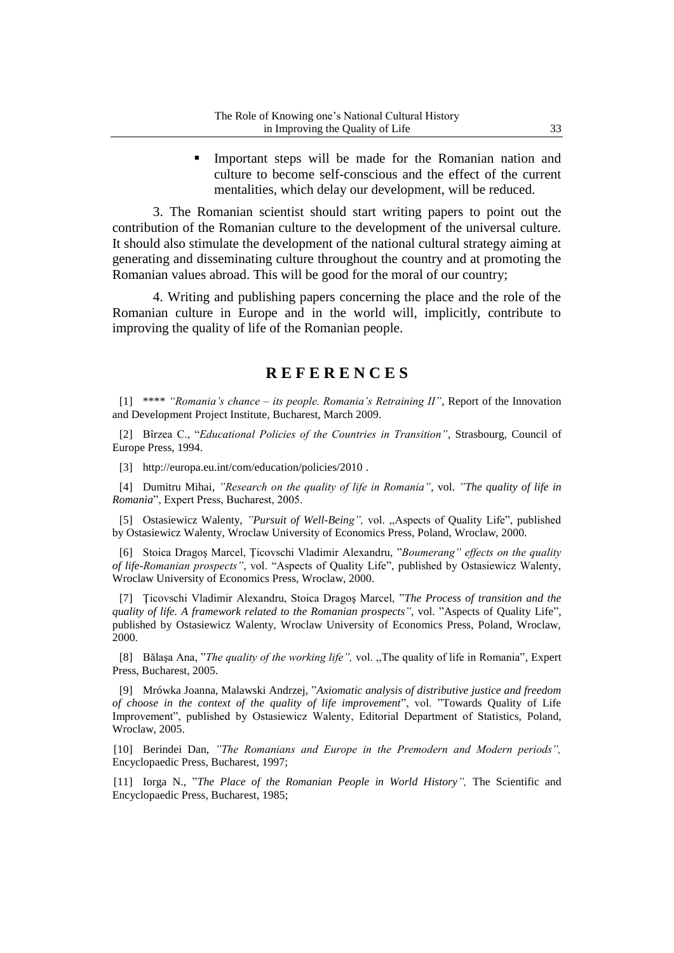Important steps will be made for the Romanian nation and culture to become self-conscious and the effect of the current mentalities, which delay our development, will be reduced.

3. The Romanian scientist should start writing papers to point out the contribution of the Romanian culture to the development of the universal culture. It should also stimulate the development of the national cultural strategy aiming at generating and disseminating culture throughout the country and at promoting the Romanian values abroad. This will be good for the moral of our country;

4. Writing and publishing papers concerning the place and the role of the Romanian culture in Europe and in the world will, implicitly, contribute to improving the quality of life of the Romanian people.

### **R E F E R E N C E S**

[1] \*\*\*\* *"Romania's chance – its people. Romania's Retraining II"*, Report of the Innovation and Development Project Institute, Bucharest, March 2009.

[2] Bîrzea C., "*Educational Policies of the Countries in Transition"*, Strasbourg, Council of Europe Press, 1994.

[3] http://europa.eu.int/com/education/policies/2010.

[4] Dumitru Mihai, *"Research on the quality of life in Romania"*, vol. *"The quality of life in Romania*", Expert Press, Bucharest, 2005.

[5] Ostasiewicz Walenty, *"Pursuit of Well-Being",* vol. ,,Aspects of Quality Life", published by Ostasiewicz Walenty, Wroclaw University of Economics Press, Poland, Wroclaw, 2000.

[6] Stoica Dragoş Marcel, Ţicovschi Vladimir Alexandru, "*Boumerang" effects on the quality of life-Romanian prospects"*, vol. "Aspects of Quality Life", published by Ostasiewicz Walenty, Wroclaw University of Economics Press, Wroclaw, 2000.

[7] Ţicovschi Vladimir Alexandru, Stoica Dragoş Marcel, "*The Process of transition and the quality of life. A framework related to the Romanian prospects"*, vol. "Aspects of Quality Life", published by Ostasiewicz Walenty, Wroclaw University of Economics Press, Poland, Wroclaw, 2000.

[8] Bălaşa Ana, "*The quality of the working life",* vol. ,,The quality of life in Romania"*,* Expert Press, Bucharest, 2005.

[9] Mrówka Joanna, Malawski Andrzej, "*Axiomatic analysis of distributive justice and freedom of choose in the context of the quality of life improvement*", vol. "Towards Quality of Life Improvement", published by Ostasiewicz Walenty, Editorial Department of Statistics, Poland, Wroclaw, 2005.

[10] Berindei Dan, *"The Romanians and Europe in the Premodern and Modern periods",* Encyclopaedic Press, Bucharest, 1997;

[11] Iorga N., "*The Place of the Romanian People in World History",* The Scientific and Encyclopaedic Press, Bucharest, 1985;